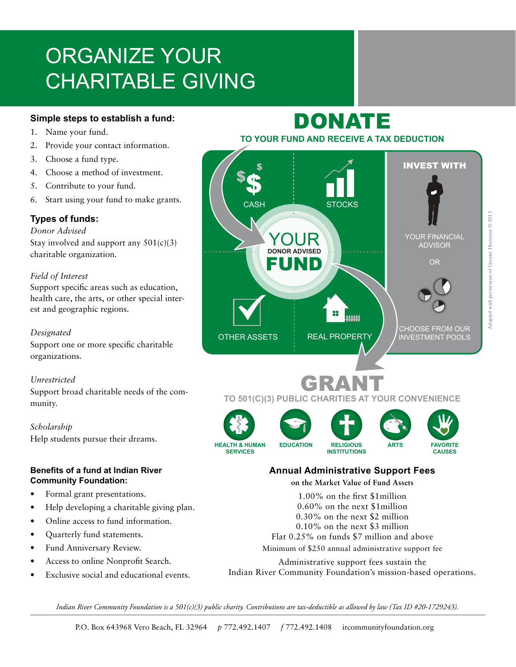# ORGANIZE YOUR CHARITABLE GIVING

### **Simple steps to establish a fund:**

- 1. Name your fund.
- 2. Provide your contact information.
- 3. Choose a fund type.
- 4. Choose a method of investment.
- 5. Contribute to your fund.
- 6. Start using your fund to make grants.

### **Types of funds:**

*Donor Advised* Stay involved and support any  $501(c)(3)$ charitable organization.

#### *Field of Interest*

Support specific areas such as education, health care, the arts, or other special interest and geographic regions.

#### *Designated*

Support one or more specific charitable organizations.

#### *Unrestricted*

Support broad charitable needs of the community.

*Scholarship* Help students pursue their dreams.

#### **Benefits of a fund at Indian River Community Foundation:**

- Formal grant presentations.
- Help developing a charitable giving plan.
- Online access to fund information.
- Quarterly fund statements.
- Fund Anniversary Review.
- Access to online Nonprofit Search.
- Exclusive social and educational events.

# DONATE



# GRANT

## **TO 501(C)(3) PUBLIC CHARITIES AT YOUR CONVENIENCE**



## **Annual Administrative Support Fees**

**on the Market Value of Fund Assets**

1.00% on the first \$1million 0.60% on the next \$1million 0.30% on the next \$2 million 0.10% on the next \$3 million Flat 0.25% on funds \$7 million and above Minimum of \$250 annual administrative support fee

Administrative support fees sustain the Indian River Community Foundation's mission-based operations.

*Indian River Community Foundation is a 501(c)(3) public charity. Contributions are tax-deductible as allowed by law (Tax ID #20-1729243).*